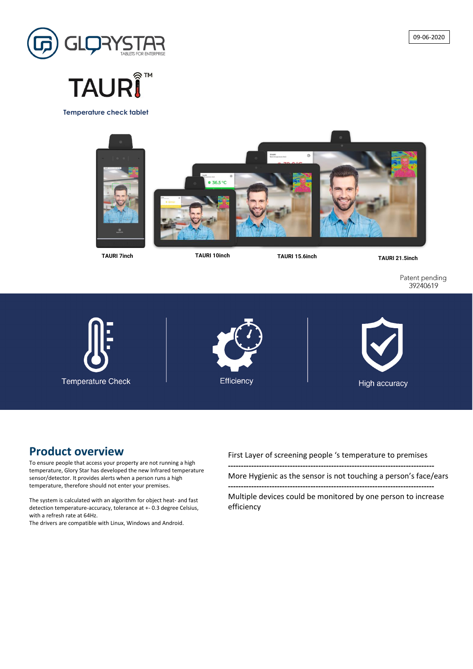## **Product overview**

To ensure people that access your property are not running a high temperature, Glory Star has developed the new Infrared temperature sensor/detector. It provides alerts when a person runs a high temperature, therefore should not enter your premises.

The system is calculated with an algorithm for object heat- and fast detection temperature-accuracy, tolerance at +- 0.3 degree Celsius, with a refresh rate at 64Hz.

The drivers are compatible with Linux, Windows and Android.

First Layer of screening people 's temperature to premises

**--------------------------------------------------------------------------------**

More Hygienic as the sensor is not touching a person's face/ears

**--------------------------------------------------------------------------------** Multiple devices could be monitored by one person to increase

efficiency

**TAURI 15.6inch TAURI 21.5inch TAURI 10inch**

Patent pending 39240619



**Temperature check tablet**





# **TAURΙ**



**TAURI 7inch**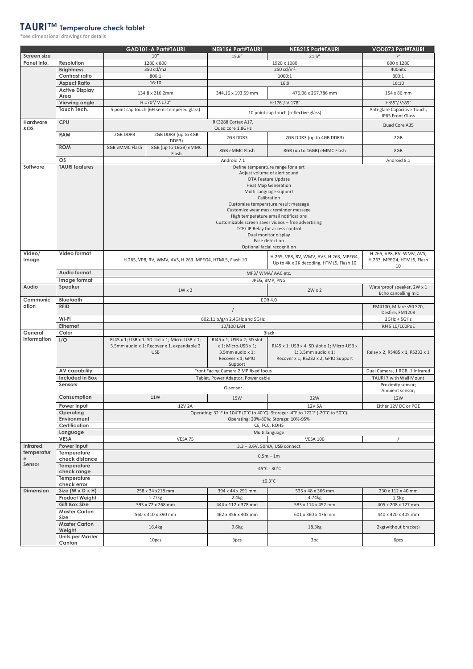### **TAURI™ Temperature check tablet**

\*see dimensional drawings for details

|                    |                                        |                                                                                                                                                                                                                                                                                                                                                                                                                                                                                                                                                                                                                             | <b>GAD101-A Part#TAURI</b>                                                                                 | <b>NEB156 Part#TAURI</b>                                                                              | <b>NEB215 Part#TAURI</b>                                                                                     | <b>VOD073 Part#TAURI</b>                          |  |  |
|--------------------|----------------------------------------|-----------------------------------------------------------------------------------------------------------------------------------------------------------------------------------------------------------------------------------------------------------------------------------------------------------------------------------------------------------------------------------------------------------------------------------------------------------------------------------------------------------------------------------------------------------------------------------------------------------------------------|------------------------------------------------------------------------------------------------------------|-------------------------------------------------------------------------------------------------------|--------------------------------------------------------------------------------------------------------------|---------------------------------------------------|--|--|
| <b>Screen size</b> |                                        |                                                                                                                                                                                                                                                                                                                                                                                                                                                                                                                                                                                                                             | 10''                                                                                                       | 15.6''                                                                                                | 21.5''                                                                                                       | 7"                                                |  |  |
| Panel info.        | <b>Resolution</b>                      | 1280 x 800                                                                                                                                                                                                                                                                                                                                                                                                                                                                                                                                                                                                                  |                                                                                                            | 1920 x 1080                                                                                           |                                                                                                              | 800 x 1280                                        |  |  |
|                    | <b>Brightness</b>                      |                                                                                                                                                                                                                                                                                                                                                                                                                                                                                                                                                                                                                             | 350 cd/m2                                                                                                  |                                                                                                       | 250 cd/ $m2$                                                                                                 | 400nits                                           |  |  |
|                    | Contrast ratio                         |                                                                                                                                                                                                                                                                                                                                                                                                                                                                                                                                                                                                                             | 800:1                                                                                                      | 1000:1                                                                                                |                                                                                                              | 800:1                                             |  |  |
|                    | <b>Aspect Ratio</b>                    | 16:10                                                                                                                                                                                                                                                                                                                                                                                                                                                                                                                                                                                                                       |                                                                                                            |                                                                                                       | 16:9                                                                                                         | 16:10                                             |  |  |
|                    | <b>Active Display</b><br>Area          | 134.8 x 216.2mm                                                                                                                                                                                                                                                                                                                                                                                                                                                                                                                                                                                                             |                                                                                                            | 344.16 x 193.59 mm                                                                                    | 476.06 x 267.786 mm                                                                                          | 154 x 86 mm                                       |  |  |
|                    | <b>Viewing angle</b>                   |                                                                                                                                                                                                                                                                                                                                                                                                                                                                                                                                                                                                                             | H:170°/V:170°                                                                                              |                                                                                                       | H:178°/V:178°                                                                                                | H:85°/V:85°                                       |  |  |
|                    | Touch Tech.                            | 5 point cap touch (6H semi-tempered glass)                                                                                                                                                                                                                                                                                                                                                                                                                                                                                                                                                                                  |                                                                                                            | 10 point cap touch (reflective glass)                                                                 |                                                                                                              | Anti-glare Capacitive Touch,<br>IP65 Front Glass  |  |  |
| <b>Hardware</b>    | <b>CPU</b>                             |                                                                                                                                                                                                                                                                                                                                                                                                                                                                                                                                                                                                                             |                                                                                                            | RK3288 Cortex A17,                                                                                    |                                                                                                              |                                                   |  |  |
| &OS                |                                        |                                                                                                                                                                                                                                                                                                                                                                                                                                                                                                                                                                                                                             |                                                                                                            | Quad core 1.8GHz                                                                                      |                                                                                                              | Quad Core A35                                     |  |  |
|                    | <b>RAM</b>                             | 2GB DDR3                                                                                                                                                                                                                                                                                                                                                                                                                                                                                                                                                                                                                    | 2GB DDR3 (up to 4GB<br>DDR3)                                                                               | 2GB DDR3                                                                                              | 2GB DDR3 (up to 4GB DDR3)                                                                                    | 2GB                                               |  |  |
|                    | <b>ROM</b>                             | 8GB eMMC Flash                                                                                                                                                                                                                                                                                                                                                                                                                                                                                                                                                                                                              | 8GB (up to 16GB) eMMC<br>Flash                                                                             | 8GB eMMC Flash                                                                                        | 8GB (up to 16GB) eMMC Flash                                                                                  | 8GB                                               |  |  |
| Software           | OS<br><b>TAURI</b> features            |                                                                                                                                                                                                                                                                                                                                                                                                                                                                                                                                                                                                                             |                                                                                                            | Android 7.1                                                                                           |                                                                                                              | Android 8.1                                       |  |  |
| Video/<br>Image    | <b>Video format</b>                    | Define temperature range for alert<br>Adjust volume of alert sound<br>OTA Feature Update<br><b>Heat Map Generation</b><br>Multi Language support<br>Calibration<br>Customize temperature result message<br>Customize wear mask reminder message<br>High temperature email notifications<br>Customizable screen saver videos - free advertising<br>TCP/IP Relay for access control<br>Dual monitor display<br>Face detection<br>Optional facial recognition<br>H.265, VP8, RV, WMV, AVS,<br>H.265, VP8, RV, WMV, AVS, H.263, MPEG4,<br>H.263. MPEG4, HTML5, Flash<br>H.265, VP8, RV, WMV, AVS, H.263. MPEG4, HTML5, Flash 10 |                                                                                                            |                                                                                                       |                                                                                                              |                                                   |  |  |
|                    | <b>Audio format</b>                    |                                                                                                                                                                                                                                                                                                                                                                                                                                                                                                                                                                                                                             |                                                                                                            | Up to 4K x 2K decoding, HTML5, Flash 10<br>MP3/ WMA/ AAC etc.                                         |                                                                                                              | 10                                                |  |  |
|                    |                                        |                                                                                                                                                                                                                                                                                                                                                                                                                                                                                                                                                                                                                             |                                                                                                            |                                                                                                       |                                                                                                              |                                                   |  |  |
| Audio              | Image format<br>Speaker                |                                                                                                                                                                                                                                                                                                                                                                                                                                                                                                                                                                                                                             | JPEG, BMP, PNG                                                                                             |                                                                                                       |                                                                                                              |                                                   |  |  |
|                    |                                        |                                                                                                                                                                                                                                                                                                                                                                                                                                                                                                                                                                                                                             | $1W \times 2$                                                                                              |                                                                                                       | $2W \times 2$                                                                                                | Waterproof speaker, 2W x 1<br>Echo cancelling mic |  |  |
| Communic           | <b>Bluetooth</b>                       |                                                                                                                                                                                                                                                                                                                                                                                                                                                                                                                                                                                                                             |                                                                                                            |                                                                                                       | EDR 4.0                                                                                                      | EM4100, Mifare s50 S70,                           |  |  |
| ation              | <b>RFID</b>                            |                                                                                                                                                                                                                                                                                                                                                                                                                                                                                                                                                                                                                             |                                                                                                            |                                                                                                       |                                                                                                              |                                                   |  |  |
|                    | Wi-Fi                                  |                                                                                                                                                                                                                                                                                                                                                                                                                                                                                                                                                                                                                             | 2GHz + 5GHz                                                                                                |                                                                                                       |                                                                                                              |                                                   |  |  |
|                    | <b>Ethernet</b>                        |                                                                                                                                                                                                                                                                                                                                                                                                                                                                                                                                                                                                                             | 10/100 LAN                                                                                                 |                                                                                                       |                                                                                                              |                                                   |  |  |
| General            | Color                                  |                                                                                                                                                                                                                                                                                                                                                                                                                                                                                                                                                                                                                             |                                                                                                            | <b>Black</b>                                                                                          |                                                                                                              |                                                   |  |  |
| information        | I/O                                    |                                                                                                                                                                                                                                                                                                                                                                                                                                                                                                                                                                                                                             | RJ45 x 1; USB x 1; SD slot x 1; Micro-USB x 1;<br>3.5mm audio x 1; Recover x 1. expandable 2<br><b>USB</b> | RJ45 x 1; USB x 2; SD slot<br>x 1; Micro-USB x 1;<br>3.5mm audio x 1;<br>Recover x 1; GPIO<br>Support | RJ45 x 1; USB x 4; SD slot x 1; Micro-USB x<br>1; 3.5mm audio $x$ 1;<br>Recover x 1; RS232 x 2; GPIO Support | Relay x 2, RS485 x 1, RS232 x 1                   |  |  |
|                    | <b>AV capability</b>                   |                                                                                                                                                                                                                                                                                                                                                                                                                                                                                                                                                                                                                             |                                                                                                            | Front Facing Camera 2 MP fixed focus<br>Tablet, Power Adaptor, Power cable                            |                                                                                                              | Dual Camera, 1 RGB, 1 Infrared                    |  |  |
|                    | <b>Included in Box</b>                 |                                                                                                                                                                                                                                                                                                                                                                                                                                                                                                                                                                                                                             | TAURI 7 with Wall Mount                                                                                    |                                                                                                       |                                                                                                              |                                                   |  |  |
|                    | <b>Sensors</b>                         | G-sensor                                                                                                                                                                                                                                                                                                                                                                                                                                                                                                                                                                                                                    |                                                                                                            |                                                                                                       |                                                                                                              | Proximity sensor;<br>Ambient sensor;              |  |  |
|                    | Consumption                            |                                                                                                                                                                                                                                                                                                                                                                                                                                                                                                                                                                                                                             | <b>11W</b>                                                                                                 | 15W                                                                                                   | 32W                                                                                                          | 12W                                               |  |  |
|                    | Power input                            |                                                                                                                                                                                                                                                                                                                                                                                                                                                                                                                                                                                                                             | 12V 2A                                                                                                     |                                                                                                       | 12V 5A                                                                                                       | Either 12V DC or POE                              |  |  |
|                    | <b>Operating</b><br><b>Environment</b> |                                                                                                                                                                                                                                                                                                                                                                                                                                                                                                                                                                                                                             |                                                                                                            |                                                                                                       |                                                                                                              |                                                   |  |  |
|                    | <b>Certification</b>                   | Operating: 20%-80%; Storage: 10%-95%<br>CE, FCC, ROHS                                                                                                                                                                                                                                                                                                                                                                                                                                                                                                                                                                       |                                                                                                            |                                                                                                       |                                                                                                              |                                                   |  |  |
|                    | Language<br><b>VESA</b>                | Multi language                                                                                                                                                                                                                                                                                                                                                                                                                                                                                                                                                                                                              |                                                                                                            |                                                                                                       |                                                                                                              |                                                   |  |  |
| <b>Infrared</b>    | Power input                            |                                                                                                                                                                                                                                                                                                                                                                                                                                                                                                                                                                                                                             | VESA 75                                                                                                    |                                                                                                       | <b>VESA 100</b><br>3.3 - 3.6V, 50mA, USB connect                                                             |                                                   |  |  |
| temperatur         | Temperature                            |                                                                                                                                                                                                                                                                                                                                                                                                                                                                                                                                                                                                                             |                                                                                                            |                                                                                                       |                                                                                                              |                                                   |  |  |
| e                  | check distance                         |                                                                                                                                                                                                                                                                                                                                                                                                                                                                                                                                                                                                                             |                                                                                                            |                                                                                                       | $0.5m - 1m$                                                                                                  |                                                   |  |  |
| Sensor             | Temperature<br>check range             | $-45^{\circ}$ C - 30 $^{\circ}$ C                                                                                                                                                                                                                                                                                                                                                                                                                                                                                                                                                                                           |                                                                                                            |                                                                                                       |                                                                                                              |                                                   |  |  |
|                    | Temperature<br>check error             | $±0.3$ °C                                                                                                                                                                                                                                                                                                                                                                                                                                                                                                                                                                                                                   |                                                                                                            |                                                                                                       |                                                                                                              |                                                   |  |  |
| <b>Dimension</b>   | Size (W x D $\times$ H)                |                                                                                                                                                                                                                                                                                                                                                                                                                                                                                                                                                                                                                             | 258 x 34 x 218 mm                                                                                          | 394 x 44 x 291 mm                                                                                     | 535 x 48 x 366 mm                                                                                            | 230 x 112 x 40 mm                                 |  |  |
|                    | <b>Product Weight</b>                  |                                                                                                                                                                                                                                                                                                                                                                                                                                                                                                                                                                                                                             | 1.27kg                                                                                                     | 2.4kg                                                                                                 | 4.74kg                                                                                                       | 1.5 <sub>kg</sub>                                 |  |  |
|                    | <b>Gift Box Size</b>                   |                                                                                                                                                                                                                                                                                                                                                                                                                                                                                                                                                                                                                             | 393 x 72 x 268 mm                                                                                          | 444 x 112 x 378 mm                                                                                    | 583 x 114 x 452 mm                                                                                           | 405 x 208 x 127 mm                                |  |  |
|                    | <b>Master Carton</b><br><b>Size</b>    |                                                                                                                                                                                                                                                                                                                                                                                                                                                                                                                                                                                                                             | 560 x 410 x 390 mm                                                                                         | 462 x 356 x 405 mm                                                                                    | 601 x 360 x 476 mm                                                                                           | 440 x 420 x 405 mm                                |  |  |
|                    | <b>Master Carton</b><br>Weight         |                                                                                                                                                                                                                                                                                                                                                                                                                                                                                                                                                                                                                             | 16.4kg                                                                                                     | 9.6kg                                                                                                 | 18.3kg                                                                                                       | 2kg(without bracket)                              |  |  |
|                    | <b>Units per Master</b><br>Canton      |                                                                                                                                                                                                                                                                                                                                                                                                                                                                                                                                                                                                                             | 10pcs                                                                                                      | 3pcs                                                                                                  | 3pc                                                                                                          | 6pcs                                              |  |  |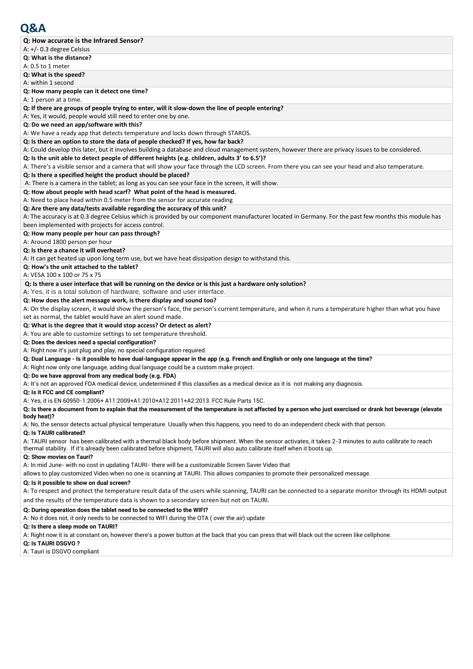| Q: How accurate is the Infrared Sensor?                                                                                                                      |
|--------------------------------------------------------------------------------------------------------------------------------------------------------------|
| A: $+/-$ 0.3 degree Celsius                                                                                                                                  |
| Q: What is the distance?                                                                                                                                     |
| A: 0.5 to 1 meter                                                                                                                                            |
| Q: What is the speed?                                                                                                                                        |
| A: within 1 second                                                                                                                                           |
| Q: How many people can it detect one time?                                                                                                                   |
| A: 1 person at a time.                                                                                                                                       |
| Q: If there are groups of people trying to enter, will it slow-down the line of people entering?                                                             |
| A: Yes, it would, people would still need to enter one by one.                                                                                               |
| Q: Do we need an app/software with this?                                                                                                                     |
| A: We have a ready app that detects temperature and locks down through STAROS.                                                                               |
| Q: Is there an option to store the data of people checked? If yes, how far back?                                                                             |
| A: Could develop this later, but it involves building a database and cloud management system, however there are privacy issues to be considered.             |
| Q: Is the unit able to detect people of different heights (e.g. children, adults 3' to 6.5')?                                                                |
| A: There's a visible sensor and a camera that will show your face through the LCD screen. From there you can see your head and also temperature.             |
| Q: Is there a specified height the product should be placed?                                                                                                 |
| A: There is a camera in the tablet; as long as you can see your face in the screen, it will show.                                                            |
| Q: How about people with head scarf? What point of the head is measured.                                                                                     |
| A: Need to place head within 0.5 meter from the sensor for accurate reading                                                                                  |
| Q: Are there any data/tests available regarding the accuracy of this unit?                                                                                   |
| A: The accuracy is at 0.3 degree Celsius which is provided by our component manufacturer located in Germany. For the past few months this module has         |
| been implemented with projects for access control.                                                                                                           |
| Q: How many people per hour can pass through?                                                                                                                |
| A: Around 1800 person per hour                                                                                                                               |
| Q: Is there a chance it will overheat?                                                                                                                       |
| A: It can get heated up upon long term use, but we have heat dissipation design to withstand this.                                                           |
| Q: How's the unit attached to the tablet?                                                                                                                    |
| A: VESA 100 x 100 or 75 x 75                                                                                                                                 |
| Q: Is there a user interface that will be running on the device or is this just a hardware only solution?                                                    |
| A: Yes, it is a total solution of hardware, software and user interface.                                                                                     |
| Q: How does the alert message work, is there display and sound too?                                                                                          |
| A: On the display screen, it would show the person's face, the person's current temperature, and when it runs a temperature higher than what you have        |
| set as normal, the tablet would have an alert sound made.                                                                                                    |
| Q: What is the degree that it would stop access? Or detect as alert?                                                                                         |
| A: You are able to customize settings to set temperature threshold.                                                                                          |
| Q: Does the devices need a special configuration?                                                                                                            |
| A: Right now it's just plug and play, no special configuration required.                                                                                     |
| Q: Dual Language - Is it possible to have dual-language appear in the app (e.g. French and English or only one language at the time?                         |
| A: Right now only one language, adding dual language could be a custom make project.                                                                         |
| Q: Do we have approval from any medical body (e.g. FDA)                                                                                                      |
| A: It's not an approved FDA medical device, undetermined if this classifies as a medical device as it is not making any diagnosis.                           |
| Q: Is it FCC and CE compliant?                                                                                                                               |
| A: Yes, it is EN 60950-1:2006+ A11:2009+A1:2010+A12:2011+A2:2013. FCC Rule Parts 15C.                                                                        |
| Q: Is there a document from to explain that the measurement of the temperature is not affected by a person who just exercised or drank hot beverage (elevate |
| body heat)?                                                                                                                                                  |
| A: No, the sensor detects actual physical temperature. Usually when this happens, you need to do an independent check with that person.                      |
| Q: Is TAURI calibrated?                                                                                                                                      |
| A: TAURI sensor has been calibrated with a thermal black body before shipment. When the sensor activates, it takes 2-3 minutes to auto calibrate to reach    |
| thermal stability. If it's already been calibrated before shipment, TAURI will also auto calibrate itself when it boots up.<br>Q: Show movies on Tauri?      |
| A: In mid June- with no cost in updating TAURI- there will be a customizable Screen Saver Video that                                                         |
| allows to play customized Video when no one is scanning at TAURI. This allows companies to promote their personalized message.                               |
|                                                                                                                                                              |
| Q: Is it possible to show on dual screen?                                                                                                                    |
| A: To respect and protect the temperature result data of the users while scanning, TAURI can be connected to a separate monitor through its HDMI output      |

and the results of the temperature data is shown to a secondary screen but not on TAURI.

#### **Q: During operation does the tablet need to be connected to the WIFI?**

A: No it does not, it only needs to be connected to WIFI during the OTA ( over the air) update

#### **Q: Is there a sleep mode on TAURI?**

A: Right now it is at constant on, however there's a power button at the back that you can press that will black out the screen like cellphone.

#### **Q: Is TAURI DSGVO ?**

A: Tauri is DSGVO compliant